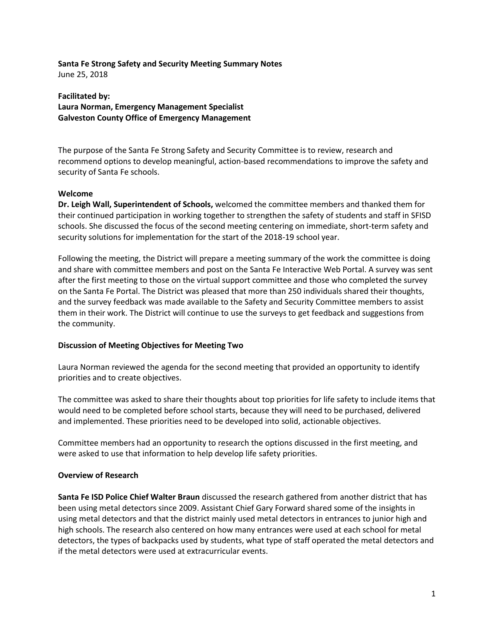#### **Santa Fe Strong Safety and Security Meeting Summary Notes** June 25, 2018

**Facilitated by: Laura Norman, Emergency Management Specialist Galveston County Office of Emergency Management**

The purpose of the Santa Fe Strong Safety and Security Committee is to review, research and recommend options to develop meaningful, action-based recommendations to improve the safety and security of Santa Fe schools.

## **Welcome**

**Dr. Leigh Wall, Superintendent of Schools,** welcomed the committee members and thanked them for their continued participation in working together to strengthen the safety of students and staff in SFISD schools. She discussed the focus of the second meeting centering on immediate, short-term safety and security solutions for implementation for the start of the 2018-19 school year.

Following the meeting, the District will prepare a meeting summary of the work the committee is doing and share with committee members and post on the Santa Fe Interactive Web Portal. A survey was sent after the first meeting to those on the virtual support committee and those who completed the survey on the Santa Fe Portal. The District was pleased that more than 250 individuals shared their thoughts, and the survey feedback was made available to the Safety and Security Committee members to assist them in their work. The District will continue to use the surveys to get feedback and suggestions from the community.

## **Discussion of Meeting Objectives for Meeting Two**

Laura Norman reviewed the agenda for the second meeting that provided an opportunity to identify priorities and to create objectives.

The committee was asked to share their thoughts about top priorities for life safety to include items that would need to be completed before school starts, because they will need to be purchased, delivered and implemented. These priorities need to be developed into solid, actionable objectives.

Committee members had an opportunity to research the options discussed in the first meeting, and were asked to use that information to help develop life safety priorities.

## **Overview of Research**

**Santa Fe ISD Police Chief Walter Braun** discussed the research gathered from another district that has been using metal detectors since 2009. Assistant Chief Gary Forward shared some of the insights in using metal detectors and that the district mainly used metal detectors in entrances to junior high and high schools. The research also centered on how many entrances were used at each school for metal detectors, the types of backpacks used by students, what type of staff operated the metal detectors and if the metal detectors were used at extracurricular events.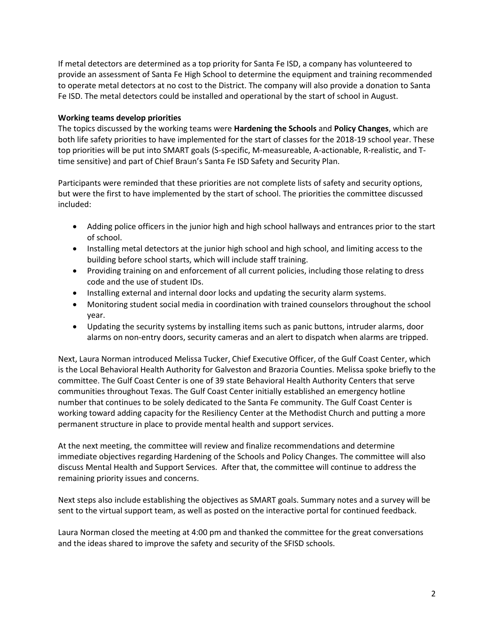If metal detectors are determined as a top priority for Santa Fe ISD, a company has volunteered to provide an assessment of Santa Fe High School to determine the equipment and training recommended to operate metal detectors at no cost to the District. The company will also provide a donation to Santa Fe ISD. The metal detectors could be installed and operational by the start of school in August.

## **Working teams develop priorities**

The topics discussed by the working teams were **Hardening the Schools** and **Policy Changes**, which are both life safety priorities to have implemented for the start of classes for the 2018-19 school year. These top priorities will be put into SMART goals (S-specific, M-measureable, A-actionable, R-realistic, and Ttime sensitive) and part of Chief Braun's Santa Fe ISD Safety and Security Plan.

Participants were reminded that these priorities are not complete lists of safety and security options, but were the first to have implemented by the start of school. The priorities the committee discussed included:

- Adding police officers in the junior high and high school hallways and entrances prior to the start of school.
- Installing metal detectors at the junior high school and high school, and limiting access to the building before school starts, which will include staff training.
- Providing training on and enforcement of all current policies, including those relating to dress code and the use of student IDs.
- Installing external and internal door locks and updating the security alarm systems.
- Monitoring student social media in coordination with trained counselors throughout the school year.
- Updating the security systems by installing items such as panic buttons, intruder alarms, door alarms on non-entry doors, security cameras and an alert to dispatch when alarms are tripped.

Next, Laura Norman introduced Melissa Tucker, Chief Executive Officer, of the Gulf Coast Center, which is the Local Behavioral Health Authority for Galveston and Brazoria Counties. Melissa spoke briefly to the committee. The Gulf Coast Center is one of 39 state Behavioral Health Authority Centers that serve communities throughout Texas. The Gulf Coast Center initially established an emergency hotline number that continues to be solely dedicated to the Santa Fe community. The Gulf Coast Center is working toward adding capacity for the Resiliency Center at the Methodist Church and putting a more permanent structure in place to provide mental health and support services.

At the next meeting, the committee will review and finalize recommendations and determine immediate objectives regarding Hardening of the Schools and Policy Changes. The committee will also discuss Mental Health and Support Services. After that, the committee will continue to address the remaining priority issues and concerns.

Next steps also include establishing the objectives as SMART goals. Summary notes and a survey will be sent to the virtual support team, as well as posted on the interactive portal for continued feedback.

Laura Norman closed the meeting at 4:00 pm and thanked the committee for the great conversations and the ideas shared to improve the safety and security of the SFISD schools.